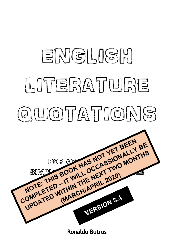

**Ronaldo Butrus**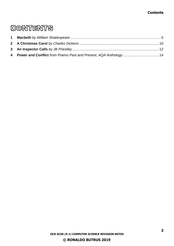#### **Contents**

# **CONTENTS**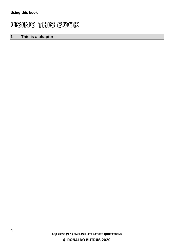# USING THIS BOOK

## **1 This is a chapter**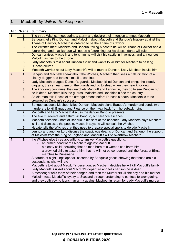## <span id="page-4-0"></span>**1 Macbeth** *by William Shakespeare*

| Act                     | <b>Scene</b>                                                                           | <b>Summary</b>                                                                                                 |  |
|-------------------------|----------------------------------------------------------------------------------------|----------------------------------------------------------------------------------------------------------------|--|
| $\overline{1}$          | The three Witches meet during a storm and declare their intention to meet Macbeth<br>1 |                                                                                                                |  |
|                         | $\overline{2}$                                                                         | Sergeant tells King Duncan and Malcolm about Macbeth and Banquo's bravery against the                          |  |
|                         |                                                                                        | Thane of Cawdor, Macbeth is ordered to be the Thane of Cawdor                                                  |  |
|                         | $\overline{3}$                                                                         | The Witches meet Macbeth and Banquo, telling Macbeth he will be Thane of Cawdor and a                          |  |
|                         |                                                                                        | future king, and that Banquo will not be a future king but his descendants will rule                           |  |
|                         | $\overline{\mathbf{4}}$                                                                | Duncan praises Macbeth and tells him he will visit his castle in Inverness, and announces                      |  |
|                         |                                                                                        | Malcolm as heir to the throne                                                                                  |  |
|                         | $5\phantom{1}$                                                                         | Lady Macbeth is told about Duncan's visit and wants to kill him for Macbeth to be king                         |  |
|                         | $6\phantom{1}$                                                                         | <b>Duncan arrives</b>                                                                                          |  |
|                         | $\overline{7}$                                                                         | Macbeth worries about Lady Macbeth's will to murder Duncan, Lady Macbeth insults him                           |  |
| $\overline{2}$          | $\mathbf{1}$                                                                           | Banquo and Macbeth speak about the Witches, Macbeth then sees a hallucination of a                             |  |
|                         |                                                                                        | bloody dagger and forces himself to continue                                                                   |  |
|                         | 2 <sup>2</sup>                                                                         | Lady Macbeth drugged Duncan's guards, Macbeth killed Duncan and brings the bloody                              |  |
|                         |                                                                                        | daggers, they smear them on the guards and go to sleep when they hear knocking                                 |  |
|                         | $\mathbf{3}$                                                                           | The knocking continues, the guard lets Macduff and Lennox in, they go to see Duncan but                        |  |
|                         |                                                                                        | he is dead, Macbeth kills the guards, Malcolm and Donaldbain flee the country                                  |  |
|                         | $\overline{\mathbf{4}}$                                                                | An old man tells Rosse of the strange omens before Duncan's death, Macbeth is to be                            |  |
|                         |                                                                                        | crowned as Duncan's successor                                                                                  |  |
| $\mathbf{3}$            | $\overline{1}$                                                                         | Banquo suspects Macbeth killed Duncan, Macbeth plans Banquo's murder and sends two                             |  |
|                         |                                                                                        | murderers to kill Banquo and Fleance on their way back from horseback riding                                   |  |
|                         | $\mathbf{2}$                                                                           | Macbeth and Lady Macbeth discuss the danger Banquo presents                                                    |  |
|                         | 3                                                                                      | The two murderers and a third kill Banquo, but Fleance escapes                                                 |  |
|                         | $\overline{\mathbf{4}}$                                                                | Macbeth sees the Ghost of Banquo in his seat at the banquet, Lady Macbeth says Macbeth                         |  |
|                         |                                                                                        | is ill and dismisses the people, Macbeth says he will consult the Witches                                      |  |
|                         | $5\phantom{1}$<br>$6\phantom{1}6$                                                      | Hecate tells the Witches that they need to prepare special spells to delude Macbeth                            |  |
|                         |                                                                                        | Lennox and another Lord discuss the suspicious deaths of Duncan and Banquo, the support                        |  |
|                         |                                                                                        | of Malcolm from the King of England and Macduff's will to overthrow Macbeth                                    |  |
| $\overline{\mathbf{4}}$ | $\mathbf{1}$                                                                           | the Witches give three apparitions to answer Macbeth's questions:                                              |  |
|                         |                                                                                        | an armed head warns Macbeth against Macduff                                                                    |  |
|                         |                                                                                        | a bloody child, declaring that no man born of a woman can harm him                                             |  |
|                         |                                                                                        | a crowned child to assure him that he will not be conquered until the forest at Birnam<br>marches to Dunsinane |  |
|                         |                                                                                        | A parade of eight kings appear, escorted by Banquo's ghost, showing that these are his                         |  |
|                         |                                                                                        | descendants who will rule                                                                                      |  |
|                         |                                                                                        | Macbeth is told about Macduff's desertion, so Macbeth decides he will kill Macduff's family                    |  |
|                         | $\overline{2}$                                                                         | Lady Macduff Is upset about Macduff's departure and tells her son he is dead                                   |  |
|                         |                                                                                        | A messenger tells them of their danger, and then the Murderers kill the boy and his mother                     |  |
|                         | $\mathbf{3}$                                                                           | Malcolm tests Macduff's loyalty to Scotland through pretending to confess to wrongdoing,                       |  |
|                         |                                                                                        | and they both vow to launch an army against Macbeth in return for Lady Macduff's murder                        |  |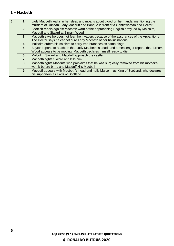#### **1 – Macbeth**

| 5                                                          |                | Lady Macbeth walks in her sleep and moans about blood on her hands, mentioning the<br>murders of Duncan, Lady Macduff and Banquo in front of a Gentlewoman and Doctor |
|------------------------------------------------------------|----------------|-----------------------------------------------------------------------------------------------------------------------------------------------------------------------|
|                                                            | 2 <sup>2</sup> | Scottish rebels against Macbeth warn of the approaching English army led by Malcolm,<br>Macduff and Siward at Birnam Wood                                             |
|                                                            |                |                                                                                                                                                                       |
| 3 <sup>1</sup>                                             |                | Macbeth says he does not fear the invaders because of the assurances of the Apparitions                                                                               |
|                                                            |                | The Doctor says he cannot cure Lady Macbeth of her hallucinations                                                                                                     |
|                                                            | 4              | Malcolm orders his soldiers to carry tree branches as camouflage                                                                                                      |
| 5 <sup>5</sup>                                             |                | Seyton reports to Macbeth that Lady Macbeth is dead, and a messenger reports that Birnam                                                                              |
|                                                            |                | Wood appears to be moving, Macbeth declares himself ready to die                                                                                                      |
|                                                            | 6              | Malcolm, Siward and Macduff approach the castle                                                                                                                       |
| Macbeth fights Siward and kills him<br>$\overline{7}$<br>8 |                |                                                                                                                                                                       |
|                                                            |                | Macbeth fights Macduff, who proclaims that he was surgically removed from his mother's                                                                                |
|                                                            |                | womb before birth, and Macduff kills Macbeth                                                                                                                          |
|                                                            | 9              | Macduff appears with Macbeth's head and hails Malcolm as King of Scotland, who declares                                                                               |
|                                                            |                | his supporters as Earls of Scotland                                                                                                                                   |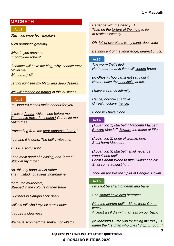## **MACBETH**

#### **Act 1**

*Stay, you imperfect speakers*

*such prophetic greeting*

*Why do you dress me In borrowed robes?*

*If chance will have me king, why, chance may crown me Without my stir.*

*Let not light see my black and deep desires.*

*We will proceed no further in this business.*

**Act 2** *(to Banquo) It shall make honour for you.*

*Is this a dagger which I see before me, The handle toward my hand? Come, let me clutch thee.*

*Proceeding from the heat-oppressed brain?*

*I go, and it is done. The bell invites me.*

*This is a sorry sight*

*I had most need of blessing, and "Amen" Stuck in my throat.*

*No, this my hand would rather The multitudinous seas incarnadine*

*there, the murderers, Steeped in the colours of their trade*

*Our fears in Banquo stick deep*

*wail his fall who I myself struck down*

*I require a clearness*

*We have scorched the snake, not killed it.*

*Better be with the dead […] Than on the torture of the mind to lie In restless ecstasy.*

*Oh, full of scorpions is my mind, dear wife!*

*Be innocent of the knowledge, dearest chuck*

#### **Act 3**

*The worm that's fled Hath nature that in time will venom breed*

*(to Ghost) Thou canst not say I did it. Never shake thy gory locks at me.*

*I have a strange infirmity*

*Hence, horrible shadow! Unreal mockery, hence!*

*Blood will have blood.*

#### **Act 4**

*(Apparition 1) Macbeth! Macbeth! Macbeth! Beware Macduff. Beware the thane of Fife.*

*(Apparition 2) none of woman born Shall harm Macbeth.*

*(Apparition 3) Macbeth shall never be vanquished until Great Birnam Wood to high Dunsinane hill Shall come against him.*

*Thou art too like the Spirit of Banquo. Down!*

#### **Act 5**

*I will not be afraid of death and bane*

*She should have died hereafter*

*Ring the alarum-bell! – Blow, wind! Come, wrack! At least we'll die with harness on our back.*

*(to Macduff) Curse you for telling me this […] damn the first man who cries "Stop! Enough!"*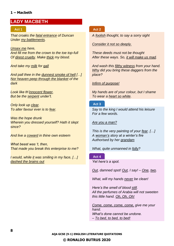#### **1 – Macbeth**

## **LADY MACBETH**

#### **Act 1 Act 2**

*That croaks the fatal entrance of Duncan Under my battlements.*

*Unsex me here, And fill me from the crown to the toe top-full Of direst cruelty. Make thick my blood.*

*And take my milk for gall*

*And pall thee in the dunnest smoke of hell […] Nor heaven peep through the blanket of the dark*

*Look like th'innocent flower, But be the serpent under't.*

*Only look up clear. To alter favour ever is to fear.*

*Was the hope drunk Wherein you dressed yourself? Hath it slept since?*

*And live a coward in thine own esteem*

*What beast was 't, then, That made you break this enterprise to me?*

*I would, while it was smiling in my face, […] dashed the brains out*

*A foolish thought, to say a sorry sight*

#### *Consider it not so deeply.*

*These deeds must not be thought After these ways. So, it will make us mad.*

*And wash this filthy witness from your hand. Why did you bring these daggers from the place?*

*Infirm of purpose!*

*My hands are of your colour, but I shame To wear a heart so white.*

#### **Act 3**

*Say to the king I would attend his leisure For a few words.*

*Are you a man?*

*This is the very painting of your fear. […] A woman's story at a winter's fire Authorised by her grandam*

*What, quite unmanned in folly?*

#### **Act 4**

*Yet here's a spot.*

*Out, damned spot! Out, I say! – One, two.*

*What, will my hands never be clean!*

*Here's the smell of blood still. All the perfumes of Arabia will not sweeten this little hand. Oh, Oh, Oh!*

*Come, come, come, come, give me your hand. What's done cannot be undone. – To bed, to bed, to bed!*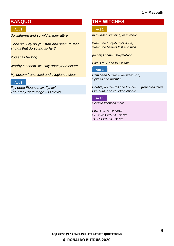#### **1 – Macbeth**

## **BANQUO**

#### **Act 1**

*So withered and so wild in their attire*

*Good sir, why do you start and seem to fear Things that do sound so fair?*

*You shall be king.*

*Worthy Macbeth, we stay upon your leisure.*

*My bosom franchised and allegiance clear*

#### **Act 3**

*Fly, good Fleance, fly, fly, fly! Thou may 'st revenge – O slave!*

### **THE WITCHES**

#### **Act 1**

*In thunder, lightning, or in rain?*

*When the hurly-burly's done, When the battle's lost and won.*

*(to cat) I come, Graymalkin!*

*Fair is foul, and foul is fair*

#### **Act 3**

*Hath been but for a wayward son, Spiteful and wrathful*

*Double, double toil and trouble, (repeated later) Fire burn, and cauldron bubble.*

#### **Act 4**

*Seek to know no more*

*FIRST WITCH: show SECOND WITCH: show THIRD WITCH: show*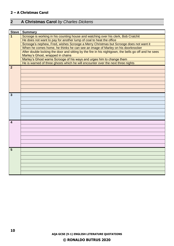#### **2 – A Christmas Carol**

# <span id="page-9-0"></span>**2 A Christmas Carol** *by Charles Dickens*

| <b>Stave</b>            | <b>Summary</b>                                                                                       |
|-------------------------|------------------------------------------------------------------------------------------------------|
| $\overline{\mathbf{1}}$ | Scrooge is working in his counting house and watching over his clerk, Bob Cratchit                   |
|                         | He does not want to pay for another lump of coal to heat the office                                  |
|                         | Scrooge's nephew, Fred, wishes Scrooge a Merry Christmas but Scrooge does not want it                |
|                         | When he comes home, he thinks he can see an image of Marley on his doorknocker                       |
|                         | After double locking the door and sitting by the fire in his nightgown, the bells go off and he sees |
|                         | Marley's Ghost, wrapped in chains                                                                    |
|                         | Marley's Ghost warns Scrooge of his ways and urges him to change them                                |
|                         | He is warned of three ghosts which he will encounter over the next three nights                      |
| $\overline{2}$          |                                                                                                      |
|                         |                                                                                                      |
|                         |                                                                                                      |
|                         |                                                                                                      |
|                         |                                                                                                      |
|                         |                                                                                                      |
|                         |                                                                                                      |
| $\mathbf{3}$            |                                                                                                      |
|                         |                                                                                                      |
|                         |                                                                                                      |
|                         |                                                                                                      |
|                         |                                                                                                      |
|                         |                                                                                                      |
|                         |                                                                                                      |
| 4                       |                                                                                                      |
|                         |                                                                                                      |
|                         |                                                                                                      |
|                         |                                                                                                      |
|                         |                                                                                                      |
|                         |                                                                                                      |
|                         |                                                                                                      |
| 5                       |                                                                                                      |
|                         |                                                                                                      |
|                         |                                                                                                      |
|                         |                                                                                                      |
|                         |                                                                                                      |
|                         |                                                                                                      |
|                         |                                                                                                      |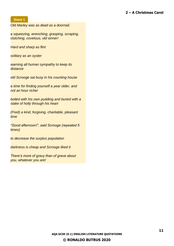#### **2 – A Christmas Carol**

#### **Stave 1**

*Old Marley was as dead as a doornail.*

*a squeezing, wrenching, grasping, scraping, clutching, covetous, old sinner!*

*Hard and sharp as flint*

*solitary as an oyster*

*warning all human sympathy to keep its distance*

*old Scrooge sat busy in his counting house*

*a time for finding yourself a year older, and not an hour richer*

*boiled with his own pudding and buried with a stake of holly through his heart*

*(Fred) a kind, forgiving, charitable, pleasant time*

*"Good afternoon!", said Scrooge (repeated 5 times)*

*to decrease the surplus population*

*darkness is cheap and Scrooge liked it*

*There's more of gravy than of grave about you, whatever you are!*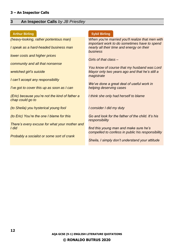#### **3 – An Inspector Calls**

#### <span id="page-11-0"></span>**3 An Inspector Calls** *by JB Priestley*

#### **Arthur Birling Community Community Community Community Community Community Community Community Community Community**

*(heavy-looking, rather portentous man)*

*I speak as a hard-headed business man*

*lower costs and higher prices*

*community and all that nonsense*

*wretched girl's suicide*

*I can't accept any responsibility*

*I've got to cover this up as soon as I can*

*(Eric) because you're not the kind of father a chap could go to*

*(to Sheila) you hysterical young fool*

*(to Eric) You're the one I blame for this*

*There's every excuse for what your mother and I did*

*Probably a socialist or some sort of crank*

*When you're married you'll realize that men with important work to do sometimes have to spend nearly all their time and energy on their business*

*Girls of that class –*

*You know of course that my husband was Lord Mayor only two years ago and that he's still a magistrate*

*We've done a great deal of useful work in helping deserving cases*

*I think she only had herself to blame*

*I consider I did my duty*

*Go and look for the father of the child. It's his responsibility*

*find this young man and make sure he's compelled to confess in public his responsibility*

*Sheila, I simply don't understand your attitude*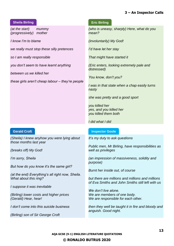#### **3 – An Inspector Calls**

#### **Sheila Birling Transfer Contract Contract Contract Contract Contract Contract Contract Contract Contract Contract Contract Contract Contract Contract Contract Contract Contract Contract Contract Contract Contract Contract**

*(at the start) mummy (progressively) mother*

*I know I'm to blame*

*we really must stop these silly pretences*

*so I am really responsible*

*you don't seem to have learnt anything*

*between us we killed her*

*these girls aren't cheap labour – they're people*

*(Sheila) I knew anyhow you were lying about those months last year*

*(breaks off) My God!*

*I'm sorry, Sheila*

*But how do you know it's the same girl?*

*(at the end) Everything's all right now, Sheila. What about this ring?*

*I suppose it was inevitable*

*(Birling) lower costs and higher prices (Gerald) Hear, hear!*

*I don't come into this suicide business*

*(Birling) son of Sir George Croft*

*(who is uneasy, sharply) Here, what do you mean?*

*(involuntarily) My God!*

*I'd have let her stay*

*That might have started it*

*(Eric enters, looking extremely pale and distressed)*

*You know, don't you?*

*I was in that state when a chap easily turns nasty*

*she was pretty and a good sport*

*you killed her yes, and you killed her you killed them both*

#### *I did what I did*

#### **Gerald Croft Inspector Goole**

*It's my duty to ask questions*

*Public men, Mr Birling, have responsibilities as well as privileges*

*(an impression of massiveness, solidity and purpose)*

*Burnt her inside out, of course*

*but there are millions and millions and millions of Eva Smiths and John Smiths still left with us*

*We don't live alone. We are members of one body. We are responsible for each other.*

*then they well be taught it in fire and bloody and anguish. Good night.*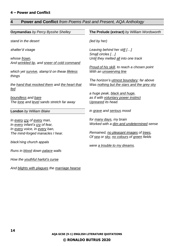## <span id="page-13-0"></span>**4 Power and Conflict** *from Poems Past and Present, AQA Anthology*

| Ozymandias by Percy Bysshe Shelley           | The Prelude (extract) by William Wordsworth                         |
|----------------------------------------------|---------------------------------------------------------------------|
|                                              |                                                                     |
| stand in the desert                          | (led by her)                                                        |
|                                              |                                                                     |
| shatter'd visage                             | Leaving behind her still []                                         |
|                                              | Small circles []                                                    |
| whose frown,                                 | Until they melted all into one track                                |
| And wrinkled lip, and sneer of cold command  |                                                                     |
|                                              | Proud of his skill, to reach a chosen point                         |
| which yet survive, stamp'd on these lifeless | With an <i>unswerving line</i>                                      |
| things                                       |                                                                     |
|                                              | The horizon's utmost boundary; far above                            |
| the hand that mocked them and the heart that | Was nothing but the stars and the grey sky                          |
| <u>fed</u>                                   |                                                                     |
| boundless and bare                           | a huge peak, black and huge,<br>as if with voluntary power instinct |
| The lone and level sands stretch far away    | Upreared its head.                                                  |
|                                              |                                                                     |
| London by William Blake                      | in grave and serious mood                                           |
|                                              |                                                                     |
| In every cry of every man,                   | for many days, my brain                                             |
| In every infant's cry of fear,               | Worked with a dim and undetermined sense                            |
| In every voice, in every ban,                |                                                                     |
| The mind-forged manacles I hear.             | Remained, no pleasant images of trees,                              |
|                                              | Of sea or sky, no colours of green fields                           |
| black'ning church appals                     |                                                                     |
|                                              | were a trouble to my dreams.                                        |
| Runs in <b>blood</b> down palace walls       |                                                                     |
|                                              |                                                                     |
| How the youthful harlot's curse              |                                                                     |
|                                              |                                                                     |
| And blights with plagues the marriage hearse |                                                                     |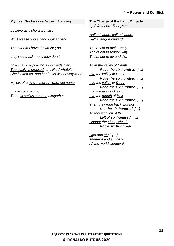#### **My Last Duchess** *by Robert Browning*

*Looking as if she were alive*

*Will't please you sit and look at her?*

*The curtain I have drawn for you*

*they would ask me, if they durst*

*how shall I say? – too soon made glad, Too easily impressed; she liked whate'er She looked on, and her looks went everywhere*

*My gift of a nine-hundred-years-old name*

*I gave commands; Then all smiles stopped altogether* **The Charge of the Light Brigade**  *by Alfred Lord Tennyson*

*Half a league, half a league, Half a league onward,*

*Theirs not to make reply, Theirs not to reason why, Theirs but to do and die:*

*All in the valley of Death Rode the six hundred. […] Into the valley of Death Rode the six hundred. […] Into the valley of Death Rode the six hundred. […] Into the jaws of Death, Into the mouth of Hell, Rode the six hundred. […] Then they rode back, but not Not the six hundred. […] All that was left of them, Left of six hundred. […] Honour the Light Brigade, Noble six hundred!*

*shot and shell […] shatter'd and sunder'd All the world wonder'd*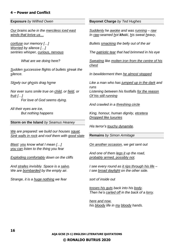#### **4 – Power and Conflict**

**Exposure** *by Wilfred Owen*

*Our brains ache in the merciless iced east winds that knive us…*

*confuse our memory […] Worried by silence […] sentries whisper, curious, nervous*

*What are we doing here?*

*Sudden successive flights of bullets streak the silence.*

*Slowly our ghosts drag home*

*Nor ever suns smile true on child, or field, or fruit […] For love of God seems dying.*

*All their eyes are ice, But nothing happens*

**Storm on the Island** *by Seamus Heaney*

*We are prepared: we build our houses squat, Sink walls in rock and roof them with good slate*

*Blast: you know what I mean […] you can listen to the thing you fear*

*Exploding comfortably down on the cliffs*

*And strafes invisibly. Space is a salvo. We are bombarded by the empty air.*

*Strange, it is a huge nothing we fear*

**Bayonet Charge** *by Ted Hughes*

*Suddenly he awoke and was running – raw In raw-seamed hot khaki, his sweat heavy,*

*Bullets smacking the belly out of the air*

*The patriotic tear that had brimmed in his eye*

*Sweating like molten iron from the centre of his chest*

*In bewilderment then he almost stopped*

*Like a man who has jumped up in the dark and runs Listening between his footfalls for the reason Of his still running*

*And crawled in a threshing circle*

*King, honour, human dignity, etcetera Dropped like luxuries*

*His terror's touchy dynamite.*

**Remains** *by Simon Armitage*

*On another occasion, we get sent out*

*And one of them legs it up the road, probably armed, possibly not.*

*I see every round as it rips through his life – I see broad daylight on the other side.*

*sort of inside out*

*tosses his guts back into his body. Then he's carted off in the back of a lorry.*

*here and now, his bloody life in my bloody hands.*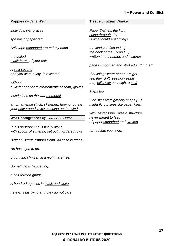#### **4 – Power and Conflict**

#### **Poppies** *by Jane Weir*

*individual war graves*

*spasms of paper red*

*Sellotape bandaged around my hand*

*the gelled blackthorns of your hair*

*A split second and you were away, intoxicated*

*without a winter coat or reinforcements of scarf, gloves*

*inscriptions on the war memorial*

*an ornamental stitch. I listened, hoping to hear your playground voice catching on the wind*

**War Photographer** *by Carol Ann Duffy*

*In his darkroom he is finally alone with spools of suffering set out in ordered rows.*

*Belfast. Beirut. Phnom Penh. All flesh is grass.*

*He has a job to do.*

*of running children in a nightmare treat*

*Something is happening.*

*a half-formed ghost.*

*A hundred agonies in black and white*

*he earns his living and they do not care.*

**Tissue** *by Imtiaz Dharker*

*Paper that lets the light shine through, this is what could alter things.*

*the kind you find in […] the back of the Koran […] written in the names and histories*

*pages smoothed and stroked and turned*

*If buildings were paper, I might feel their drift, see how easily they fall away on a sigh, a shift*

#### *Maps too.*

*Fine slips from grocery shops […] might fly our lives like paper kites.*

*with living tissue, raise a structure never meant to last, of paper smoothed and stroked*

*turned into your skin.*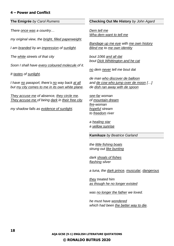#### **4 – Power and Conflict**

**The Emigrée** *by Carol Rumens*

*There once was a country…*

*my original view, the bright, filled paperweight.*

*I am branded by an impression of sunlight.*

*The white streets of that city*

*Soon I shall have every coloured molecule of it.*

*It tastes of sunlight.*

*I have no passport, there's no way back at all but my city comes to me in its own white plane.*

*They accuse me of absence, they circle me. They accuse me of being dark in their free city.*

*my shadow falls as evidence of sunlight.*

#### **Checking Out Me History** *by John Agard*

*Dem tell me Wha dem want to tell me*

*Bandage up me eye with me own history Blind me to me own identity*

*bout 1066 and all dat bout Dick Whittington and he cat*

*no dem never tell me bout dat*

*de man who discover de balloon and de cow who jump over de moon […] de dish ran away with de spoon*

*see-far woman of mountain dream fire-woman hopeful stream to freedom river*

*a healing star a yellow sunrise*

**Kamikaze** *by Beatrice Garland*

*the little fishing boats strung out like bunting*

*dark shoals of fishes flashing silver*

*a tuna, the dark prince, muscular, dangerous*

*they treated him as though he no longer existed*

*was no longer the father we loved.*

*he must have wondered which had been the better way to die.*